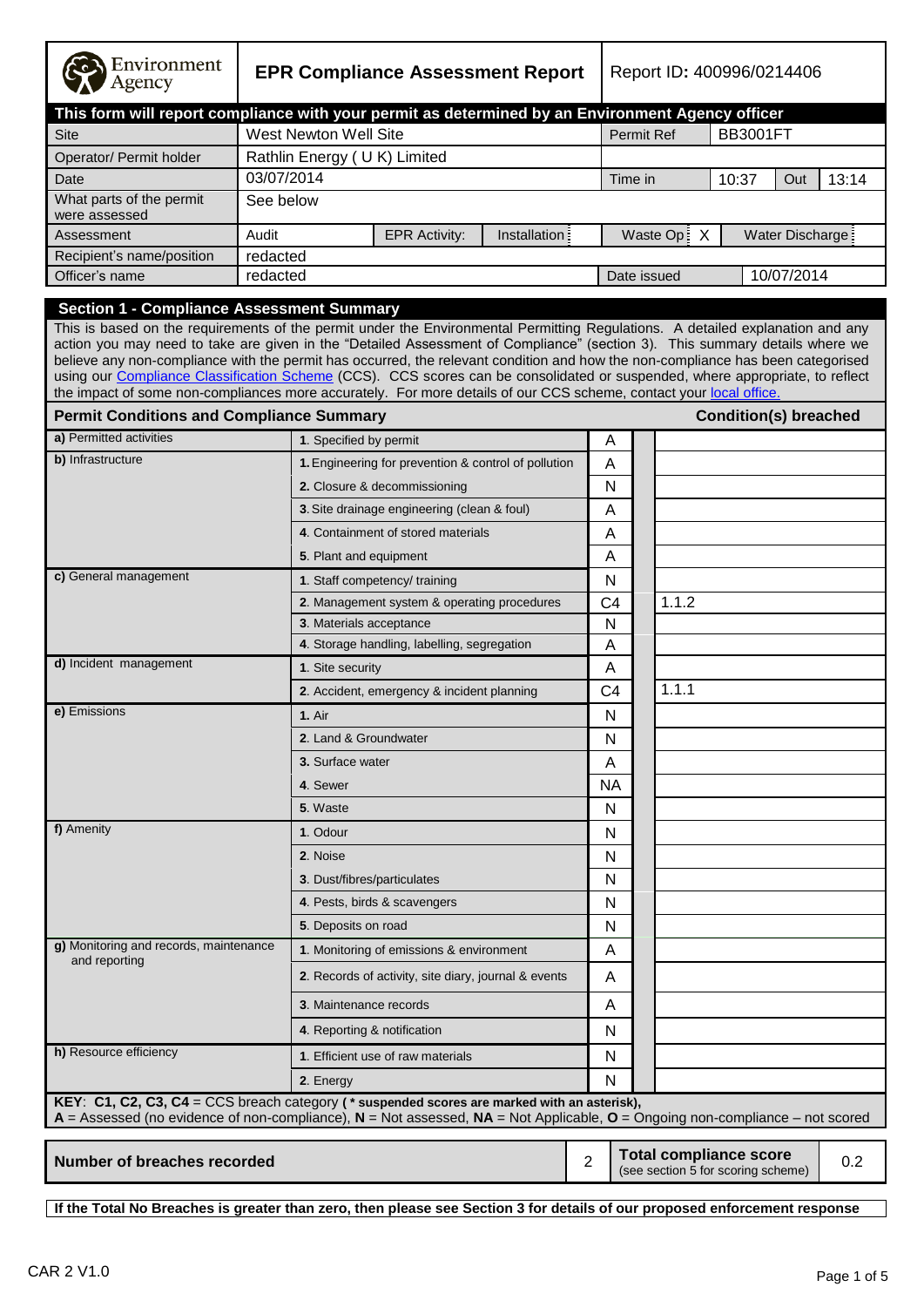| Environment<br>Agency                                                                                                                                                                                                                                                                                                                                                                                                                                                                                                                                                                                                                                                                                      | <b>EPR Compliance Assessment Report</b> |                                                      |                                                      |               | Report ID: 400996/0214406 |                   |             |                                                                     |                  |     |
|------------------------------------------------------------------------------------------------------------------------------------------------------------------------------------------------------------------------------------------------------------------------------------------------------------------------------------------------------------------------------------------------------------------------------------------------------------------------------------------------------------------------------------------------------------------------------------------------------------------------------------------------------------------------------------------------------------|-----------------------------------------|------------------------------------------------------|------------------------------------------------------|---------------|---------------------------|-------------------|-------------|---------------------------------------------------------------------|------------------|-----|
| This form will report compliance with your permit as determined by an Environment Agency officer                                                                                                                                                                                                                                                                                                                                                                                                                                                                                                                                                                                                           |                                         |                                                      |                                                      |               |                           |                   |             |                                                                     |                  |     |
| <b>Site</b>                                                                                                                                                                                                                                                                                                                                                                                                                                                                                                                                                                                                                                                                                                |                                         | West Newton Well Site                                |                                                      |               |                           | <b>Permit Ref</b> |             | <b>BB3001FT</b>                                                     |                  |     |
| Operator/ Permit holder                                                                                                                                                                                                                                                                                                                                                                                                                                                                                                                                                                                                                                                                                    |                                         |                                                      | Rathlin Energy (UK) Limited                          |               |                           |                   |             |                                                                     |                  |     |
| Date                                                                                                                                                                                                                                                                                                                                                                                                                                                                                                                                                                                                                                                                                                       | 03/07/2014                              |                                                      |                                                      |               | Time in                   |                   | 10:37       | Out                                                                 | 13:14            |     |
| What parts of the permit<br>were assessed                                                                                                                                                                                                                                                                                                                                                                                                                                                                                                                                                                                                                                                                  | See below                               |                                                      |                                                      |               |                           |                   |             |                                                                     |                  |     |
| Assessment                                                                                                                                                                                                                                                                                                                                                                                                                                                                                                                                                                                                                                                                                                 | Audit                                   |                                                      | <b>EPR Activity:</b>                                 | Installation: |                           |                   | Waste Op: X |                                                                     | Water Discharge: |     |
| Recipient's name/position                                                                                                                                                                                                                                                                                                                                                                                                                                                                                                                                                                                                                                                                                  | redacted                                |                                                      |                                                      |               |                           |                   |             |                                                                     |                  |     |
| Officer's name                                                                                                                                                                                                                                                                                                                                                                                                                                                                                                                                                                                                                                                                                             | redacted                                |                                                      |                                                      |               |                           | Date issued       |             |                                                                     | 10/07/2014       |     |
| <b>Section 1 - Compliance Assessment Summary</b><br>This is based on the requirements of the permit under the Environmental Permitting Regulations. A detailed explanation and any<br>action you may need to take are given in the "Detailed Assessment of Compliance" (section 3). This summary details where we<br>believe any non-compliance with the permit has occurred, the relevant condition and how the non-compliance has been categorised<br>using our Compliance Classification Scheme (CCS). CCS scores can be consolidated or suspended, where appropriate, to reflect<br>the impact of some non-compliances more accurately. For more details of our CCS scheme, contact your local office. |                                         |                                                      |                                                      |               |                           |                   |             |                                                                     |                  |     |
| <b>Permit Conditions and Compliance Summary</b>                                                                                                                                                                                                                                                                                                                                                                                                                                                                                                                                                                                                                                                            |                                         |                                                      |                                                      |               |                           |                   |             | <b>Condition(s) breached</b>                                        |                  |     |
| a) Permitted activities                                                                                                                                                                                                                                                                                                                                                                                                                                                                                                                                                                                                                                                                                    |                                         | 1. Specified by permit                               |                                                      |               | A                         |                   |             |                                                                     |                  |     |
| b) Infrastructure                                                                                                                                                                                                                                                                                                                                                                                                                                                                                                                                                                                                                                                                                          |                                         |                                                      | 1. Engineering for prevention & control of pollution |               | A                         |                   |             |                                                                     |                  |     |
|                                                                                                                                                                                                                                                                                                                                                                                                                                                                                                                                                                                                                                                                                                            |                                         |                                                      | 2. Closure & decommissioning                         |               | N                         |                   |             |                                                                     |                  |     |
|                                                                                                                                                                                                                                                                                                                                                                                                                                                                                                                                                                                                                                                                                                            |                                         |                                                      | 3. Site drainage engineering (clean & foul)          |               | A                         |                   |             |                                                                     |                  |     |
|                                                                                                                                                                                                                                                                                                                                                                                                                                                                                                                                                                                                                                                                                                            |                                         | 4. Containment of stored materials                   |                                                      |               | A                         |                   |             |                                                                     |                  |     |
|                                                                                                                                                                                                                                                                                                                                                                                                                                                                                                                                                                                                                                                                                                            |                                         |                                                      | 5. Plant and equipment                               |               | A                         |                   |             |                                                                     |                  |     |
| c) General management                                                                                                                                                                                                                                                                                                                                                                                                                                                                                                                                                                                                                                                                                      |                                         |                                                      | 1. Staff competency/ training                        |               | N                         |                   |             |                                                                     |                  |     |
|                                                                                                                                                                                                                                                                                                                                                                                                                                                                                                                                                                                                                                                                                                            |                                         |                                                      | 2. Management system & operating procedures          |               | C <sub>4</sub>            |                   | 1.1.2       |                                                                     |                  |     |
|                                                                                                                                                                                                                                                                                                                                                                                                                                                                                                                                                                                                                                                                                                            |                                         |                                                      | 3. Materials acceptance                              |               | N                         |                   |             |                                                                     |                  |     |
|                                                                                                                                                                                                                                                                                                                                                                                                                                                                                                                                                                                                                                                                                                            |                                         |                                                      | 4. Storage handling, labelling, segregation          |               | A                         |                   |             |                                                                     |                  |     |
| d) Incident management                                                                                                                                                                                                                                                                                                                                                                                                                                                                                                                                                                                                                                                                                     |                                         | 1. Site security                                     |                                                      |               | A                         |                   |             |                                                                     |                  |     |
|                                                                                                                                                                                                                                                                                                                                                                                                                                                                                                                                                                                                                                                                                                            |                                         |                                                      | 2. Accident, emergency & incident planning           |               | C <sub>4</sub>            |                   | 1.1.1       |                                                                     |                  |     |
| e) Emissions                                                                                                                                                                                                                                                                                                                                                                                                                                                                                                                                                                                                                                                                                               |                                         | <b>1. Air</b>                                        |                                                      |               | N                         |                   |             |                                                                     |                  |     |
|                                                                                                                                                                                                                                                                                                                                                                                                                                                                                                                                                                                                                                                                                                            |                                         |                                                      | 2. Land & Groundwater                                |               | N                         |                   |             |                                                                     |                  |     |
|                                                                                                                                                                                                                                                                                                                                                                                                                                                                                                                                                                                                                                                                                                            |                                         | 3. Surface water                                     |                                                      |               | A                         |                   |             |                                                                     |                  |     |
|                                                                                                                                                                                                                                                                                                                                                                                                                                                                                                                                                                                                                                                                                                            |                                         | 4. Sewer                                             |                                                      |               | NA.                       |                   |             |                                                                     |                  |     |
|                                                                                                                                                                                                                                                                                                                                                                                                                                                                                                                                                                                                                                                                                                            |                                         | 5. Waste                                             |                                                      |               | N                         |                   |             |                                                                     |                  |     |
| f) Amenity                                                                                                                                                                                                                                                                                                                                                                                                                                                                                                                                                                                                                                                                                                 |                                         | 1. Odour                                             |                                                      |               | N                         |                   |             |                                                                     |                  |     |
|                                                                                                                                                                                                                                                                                                                                                                                                                                                                                                                                                                                                                                                                                                            |                                         | 2. Noise                                             |                                                      | $\mathsf{N}$  |                           |                   |             |                                                                     |                  |     |
|                                                                                                                                                                                                                                                                                                                                                                                                                                                                                                                                                                                                                                                                                                            |                                         |                                                      | 3. Dust/fibres/particulates                          |               | N                         |                   |             |                                                                     |                  |     |
|                                                                                                                                                                                                                                                                                                                                                                                                                                                                                                                                                                                                                                                                                                            |                                         | 4. Pests, birds & scavengers                         |                                                      | N             |                           |                   |             |                                                                     |                  |     |
|                                                                                                                                                                                                                                                                                                                                                                                                                                                                                                                                                                                                                                                                                                            |                                         | 5. Deposits on road                                  |                                                      | N             |                           |                   |             |                                                                     |                  |     |
| g) Monitoring and records, maintenance                                                                                                                                                                                                                                                                                                                                                                                                                                                                                                                                                                                                                                                                     |                                         |                                                      | 1. Monitoring of emissions & environment             |               | A                         |                   |             |                                                                     |                  |     |
| and reporting                                                                                                                                                                                                                                                                                                                                                                                                                                                                                                                                                                                                                                                                                              |                                         | 2. Records of activity, site diary, journal & events |                                                      |               | A                         |                   |             |                                                                     |                  |     |
|                                                                                                                                                                                                                                                                                                                                                                                                                                                                                                                                                                                                                                                                                                            |                                         |                                                      | 3. Maintenance records                               |               | A                         |                   |             |                                                                     |                  |     |
|                                                                                                                                                                                                                                                                                                                                                                                                                                                                                                                                                                                                                                                                                                            |                                         |                                                      | 4. Reporting & notification                          |               | N                         |                   |             |                                                                     |                  |     |
| h) Resource efficiency                                                                                                                                                                                                                                                                                                                                                                                                                                                                                                                                                                                                                                                                                     |                                         |                                                      | 1. Efficient use of raw materials                    |               | N                         |                   |             |                                                                     |                  |     |
|                                                                                                                                                                                                                                                                                                                                                                                                                                                                                                                                                                                                                                                                                                            |                                         | 2. Energy                                            |                                                      |               | $\mathsf{N}$              |                   |             |                                                                     |                  |     |
| KEY: C1, C2, C3, C4 = CCS breach category ( $*$ suspended scores are marked with an asterisk),<br>$A =$ Assessed (no evidence of non-compliance), $N =$ Not assessed, $NA =$ Not Applicable, $O =$ Ongoing non-compliance – not scored                                                                                                                                                                                                                                                                                                                                                                                                                                                                     |                                         |                                                      |                                                      |               |                           |                   |             |                                                                     |                  |     |
| <b>Number of breaches recorded</b>                                                                                                                                                                                                                                                                                                                                                                                                                                                                                                                                                                                                                                                                         |                                         |                                                      |                                                      |               | $\overline{2}$            |                   |             | <b>Total compliance score</b><br>(see section 5 for scoring scheme) |                  | 0.2 |

**If the Total No Breaches is greater than zero, then please see Section 3 for details of our proposed enforcement response**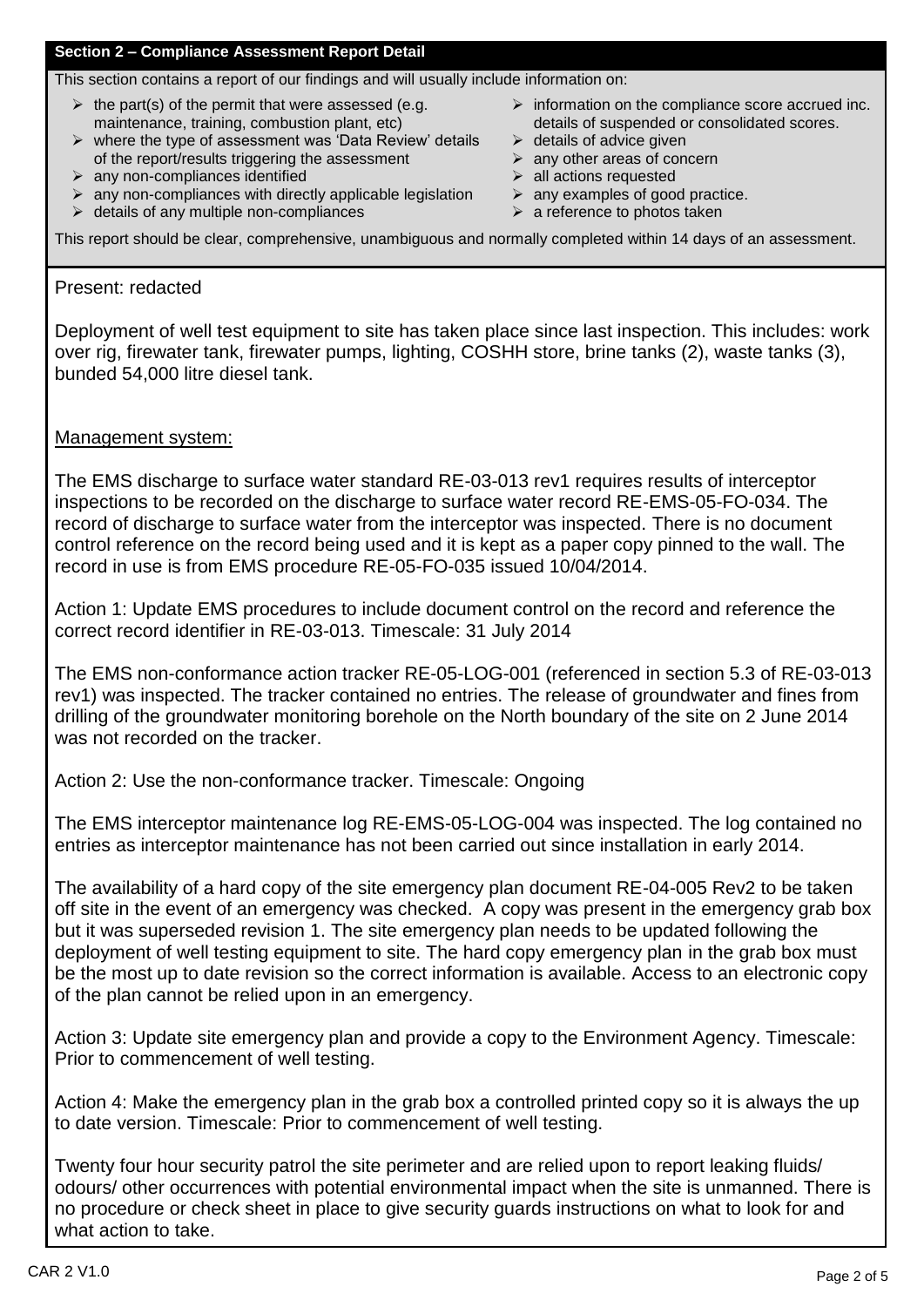# **Section 2 – Compliance Assessment Report Detail**

This section contains a report of our findings and will usually include information on:

- $\triangleright$  the part(s) of the permit that were assessed (e.g. maintenance, training, combustion plant, etc)
- $\triangleright$  where the type of assessment was 'Data Review' details of the report/results triggering the assessment
- $\triangleright$  any non-compliances identified
- $\triangleright$  any non-compliances with directly applicable legislation
- $\triangleright$  details of any multiple non-compliances
- $\triangleright$  information on the compliance score accrued inc. details of suspended or consolidated scores.
- $\triangleright$  details of advice given
- $\triangleright$  any other areas of concern
- $\triangleright$  all actions requested
- $\triangleright$  any examples of good practice.
- $\triangleright$  a reference to photos taken

This report should be clear, comprehensive, unambiguous and normally completed within 14 days of an assessment.

## Present: redacted

Deployment of well test equipment to site has taken place since last inspection. This includes: work over rig, firewater tank, firewater pumps, lighting, COSHH store, brine tanks (2), waste tanks (3), bunded 54,000 litre diesel tank.

## Management system:

The EMS discharge to surface water standard RE-03-013 rev1 requires results of interceptor inspections to be recorded on the discharge to surface water record RE-EMS-05-FO-034. The record of discharge to surface water from the interceptor was inspected. There is no document control reference on the record being used and it is kept as a paper copy pinned to the wall. The record in use is from EMS procedure RE-05-FO-035 issued 10/04/2014.

Action 1: Update EMS procedures to include document control on the record and reference the correct record identifier in RE-03-013. Timescale: 31 July 2014

The EMS non-conformance action tracker RE-05-LOG-001 (referenced in section 5.3 of RE-03-013 rev1) was inspected. The tracker contained no entries. The release of groundwater and fines from drilling of the groundwater monitoring borehole on the North boundary of the site on 2 June 2014 was not recorded on the tracker.

Action 2: Use the non-conformance tracker. Timescale: Ongoing

The EMS interceptor maintenance log RE-EMS-05-LOG-004 was inspected. The log contained no entries as interceptor maintenance has not been carried out since installation in early 2014.

The availability of a hard copy of the site emergency plan document RE-04-005 Rev2 to be taken off site in the event of an emergency was checked. A copy was present in the emergency grab box but it was superseded revision 1. The site emergency plan needs to be updated following the deployment of well testing equipment to site. The hard copy emergency plan in the grab box must be the most up to date revision so the correct information is available. Access to an electronic copy of the plan cannot be relied upon in an emergency.

Action 3: Update site emergency plan and provide a copy to the Environment Agency. Timescale: Prior to commencement of well testing.

Action 4: Make the emergency plan in the grab box a controlled printed copy so it is always the up to date version. Timescale: Prior to commencement of well testing.

Twenty four hour security patrol the site perimeter and are relied upon to report leaking fluids/ odours/ other occurrences with potential environmental impact when the site is unmanned. There is no procedure or check sheet in place to give security guards instructions on what to look for and what action to take.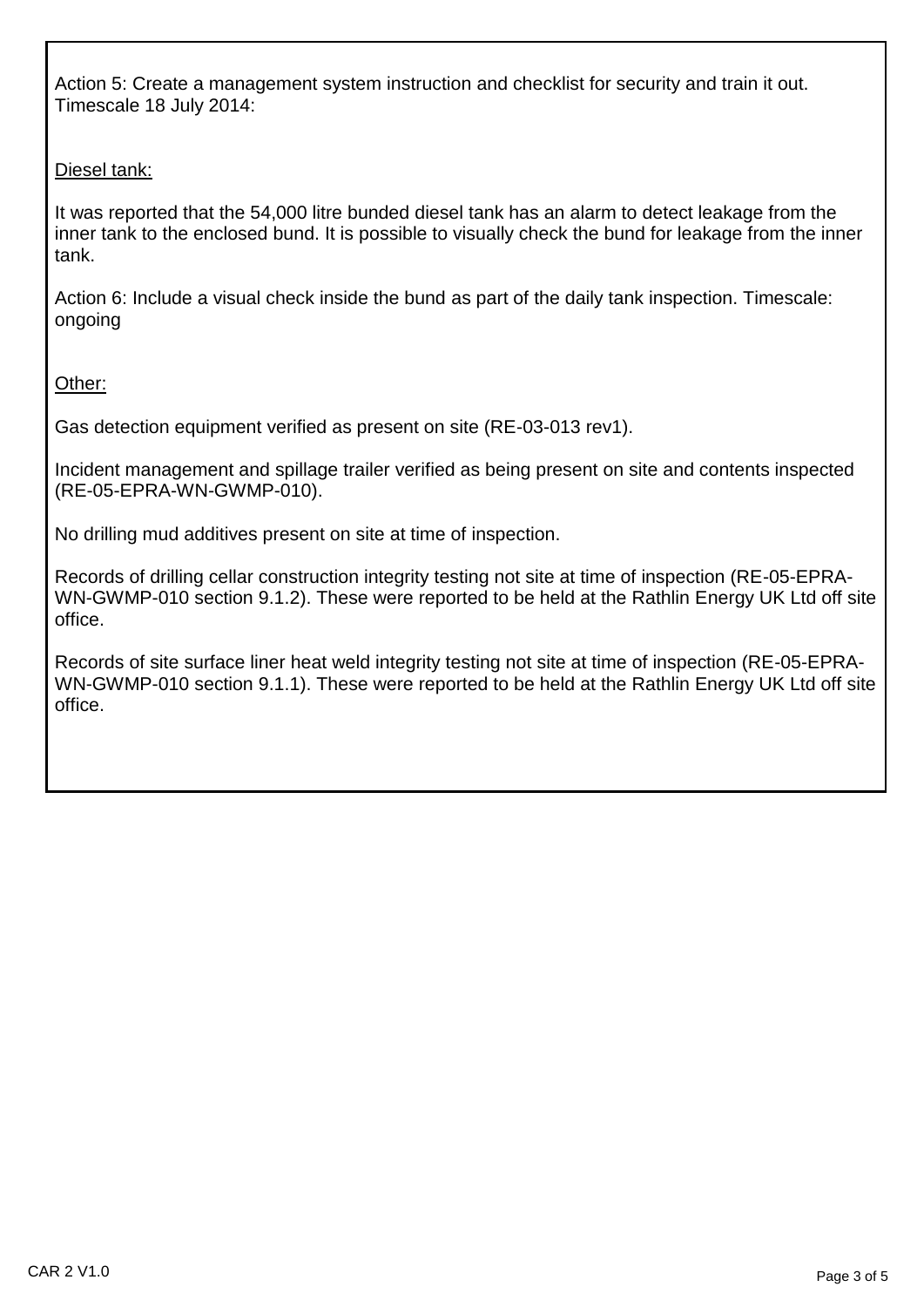Action 5: Create a management system instruction and checklist for security and train it out. Timescale 18 July 2014:

# Diesel tank:

It was reported that the 54,000 litre bunded diesel tank has an alarm to detect leakage from the inner tank to the enclosed bund. It is possible to visually check the bund for leakage from the inner tank.

Action 6: Include a visual check inside the bund as part of the daily tank inspection. Timescale: ongoing

Other:

Gas detection equipment verified as present on site (RE-03-013 rev1).

Incident management and spillage trailer verified as being present on site and contents inspected (RE-05-EPRA-WN-GWMP-010).

No drilling mud additives present on site at time of inspection.

Records of drilling cellar construction integrity testing not site at time of inspection (RE-05-EPRA-WN-GWMP-010 section 9.1.2). These were reported to be held at the Rathlin Energy UK Ltd off site office.

Records of site surface liner heat weld integrity testing not site at time of inspection (RE-05-EPRA-WN-GWMP-010 section 9.1.1). These were reported to be held at the Rathlin Energy UK Ltd off site office.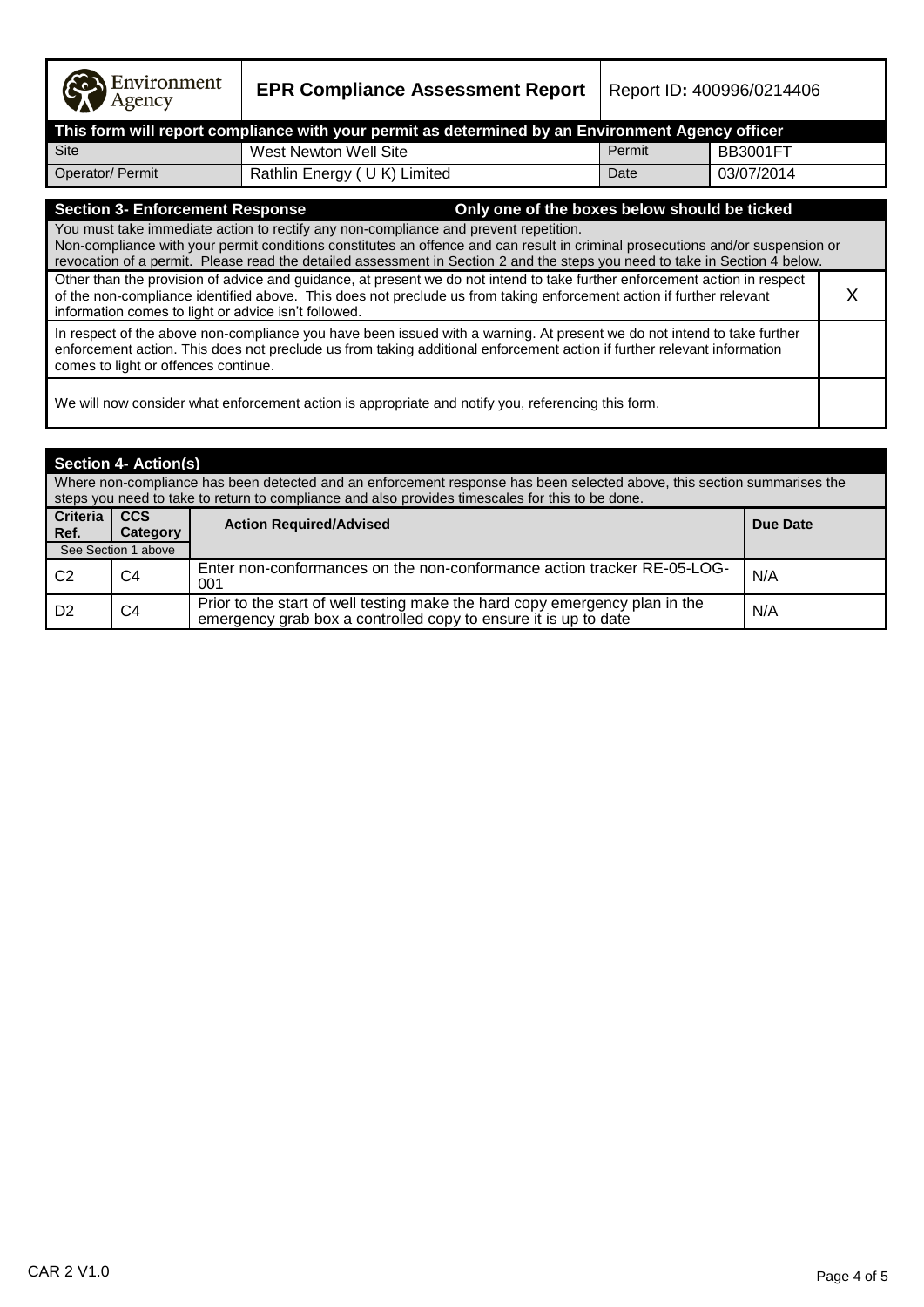**EPR Compliance Assessment Report** | Report ID: 400996/0214406

| This form will report compliance with your permit as determined by an Environment Agency officer |                             |        |            |  |  |  |  |
|--------------------------------------------------------------------------------------------------|-----------------------------|--------|------------|--|--|--|--|
| <b>Site</b>                                                                                      | West Newton Well Site       | Permit | BB3001FT   |  |  |  |  |
| Operator/ Permit                                                                                 | Rathlin Energy (UK) Limited | Date   | 03/07/2014 |  |  |  |  |

## **Section 3- Enforcement Response Only one of the boxes below should be ticked**

You must take immediate action to rectify any non-compliance and prevent repetition. Non-compliance with your permit conditions constitutes an offence and can result in criminal prosecutions and/or suspension or revocation of a permit. Please read the detailed assessment in Section 2 and the steps you need to take in Section 4 below. Other than the provision of advice and guidance, at present we do not intend to take further enforcement action in respect of the non-compliance identified above. This does not preclude us from taking enforcement action if further relevant information comes to light or advice isn"t followed. X In respect of the above non-compliance you have been issued with a warning. At present we do not intend to take further enforcement action. This does not preclude us from taking additional enforcement action if further relevant information comes to light or offences continue.

We will now consider what enforcement action is appropriate and notify you, referencing this form.

| <b>Section 4- Action(s)</b>                                                                                                                                                                                                 |                        |                                                                                                                                                |          |  |
|-----------------------------------------------------------------------------------------------------------------------------------------------------------------------------------------------------------------------------|------------------------|------------------------------------------------------------------------------------------------------------------------------------------------|----------|--|
| Where non-compliance has been detected and an enforcement response has been selected above, this section summarises the<br>steps you need to take to return to compliance and also provides timescales for this to be done. |                        |                                                                                                                                                |          |  |
| <b>Criteria</b><br>Ref.                                                                                                                                                                                                     | <b>CCS</b><br>Category | <b>Action Required/Advised</b>                                                                                                                 | Due Date |  |
|                                                                                                                                                                                                                             | See Section 1 above    |                                                                                                                                                |          |  |
| C <sub>2</sub>                                                                                                                                                                                                              | C4                     | Enter non-conformances on the non-conformance action tracker RE-05-LOG-<br>001                                                                 | N/A      |  |
| D <sub>2</sub>                                                                                                                                                                                                              | C4                     | Prior to the start of well testing make the hard copy emergency plan in the<br>emergency grab box a controlled copy to ensure it is up to date | N/A      |  |